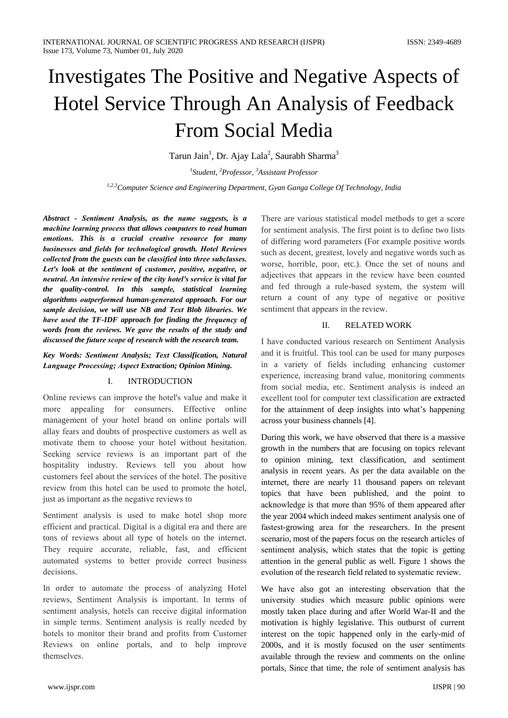# Investigates The Positive and Negative Aspects of Hotel Service Through An Analysis of Feedback **From Social Media**

Tarun Jain<sup>1</sup>, Dr. Ajay Lala<sup>2</sup>, Saurabh Sharma<sup>3</sup>

<sup>1</sup>Student, <sup>2</sup>Professor, <sup>3</sup>Assistant Professor <sup>1,2,3</sup> Computer Science and Engineering Department, Gyan Ganga College Of Technology, India

Abstract - Sentiment Analysis, as the name suggests, is a machine learning process that allows computers to read human emotions. This is a crucial creative resource for many businesses and fields for technological growth. Hotel Reviews collected from the guests can be classified into three subclasses. Let's look at the sentiment of customer, positive, negative, or neutral. An intensive review of the city hotel's service is vital for the quality-control. In this sample, statistical learning algorithms outperformed human-generated approach. For our sample decision, we will use NB and Text Blob libraries. We have used the TF-IDF approach for finding the frequency of words from the reviews. We gave the results of the study and discussed the future scope of research with the research team.

Key Words: Sentiment Analysis; Text Classification, Natural Language Processing; Aspect Extraction; Opinion Mining.

#### $\mathbf{I}$ . **INTRODUCTION**

Online reviews can improve the hotel's value and make it appealing for consumers. Effective online more management of your hotel brand on online portals will allay fears and doubts of prospective customers as well as motivate them to choose your hotel without hesitation. Seeking service reviews is an important part of the hospitality industry. Reviews tell you about how customers feel about the services of the hotel. The positive review from this hotel can be used to promote the hotel, just as important as the negative reviews to

Sentiment analysis is used to make hotel shop more efficient and practical. Digital is a digital era and there are tons of reviews about all type of hotels on the internet. They require accurate, reliable, fast, and efficient automated systems to better provide correct business decisions.

In order to automate the process of analyzing Hotel reviews, Sentiment Analysis is important. In terms of sentiment analysis, hotels can receive digital information in simple terms. Sentiment analysis is really needed by hotels to monitor their brand and profits from Customer Reviews on online portals, and to help improve themselves.

There are various statistical model methods to get a score for sentiment analysis. The first point is to define two lists of differing word parameters (For example positive words such as decent, greatest, lovely and negative words such as worse, horrible, poor, etc.). Once the set of nouns and adjectives that appears in the review have been counted and fed through a rule-based system, the system will return a count of any type of negative or positive sentiment that appears in the review.

#### $\Pi$ **RELATED WORK**

I have conducted various research on Sentiment Analysis and it is fruitful. This tool can be used for many purposes in a variety of fields including enhancing customer experience, increasing brand value, monitoring comments from social media, etc. Sentiment analysis is indeed an excellent tool for computer text classification are extracted for the attainment of deep insights into what's happening across your business channels [4].

During this work, we have observed that there is a massive growth in the numbers that are focusing on topics relevant to opinion mining, text classification, and sentiment analysis in recent years. As per the data available on the internet, there are nearly 11 thousand papers on relevant topics that have been published, and the point to acknowledge is that more than 95% of them appeared after the year 2004 which indeed makes sentiment analysis one of fastest-growing area for the researchers. In the present scenario, most of the papers focus on the research articles of sentiment analysis, which states that the topic is getting attention in the general public as well. Figure 1 shows the evolution of the research field related to systematic review.

We have also got an interesting observation that the university studies which measure public opinions were mostly taken place during and after World War-II and the motivation is highly legislative. This outburst of current interest on the topic happened only in the early-mid of 2000s, and it is mostly focused on the user sentiments available through the review and comments on the online portals, Since that time, the role of sentiment analysis has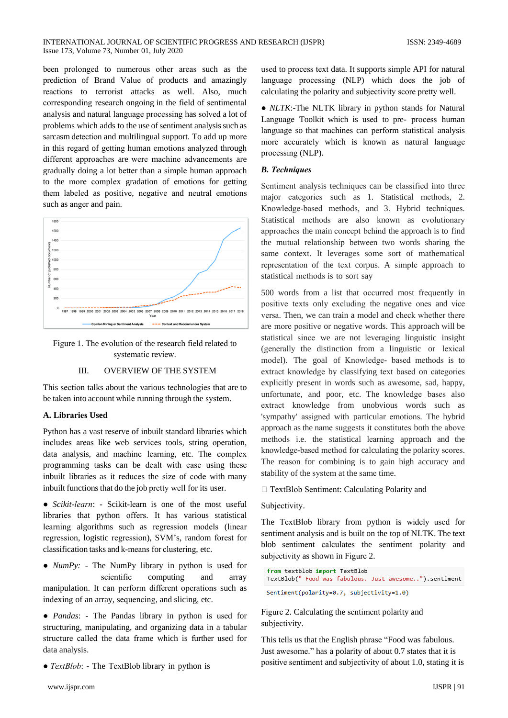been prolonged to numerous other areas such as the prediction of Brand Value of products and amazingly reactions to terrorist attacks as well. Also, much corresponding research ongoing in the field of sentimental analysis and natural language processing has solved a lot of problems which adds to the use of sentiment analysis such as sarcasm detection and multilingual support. To add up more in this regard of getting human emotions analyzed through different approaches are were machine advancements are gradually doing a lot better than a simple human approach to the more complex gradation of emotions for getting them labeled as positive, negative and neutral emotions such as anger and pain.



Figure 1. The evolution of the research field related to systematic review.

#### III. **OVERVIEW OF THE SYSTEM**

This section talks about the various technologies that are to be taken into account while running through the system.

## A. Libraries Used

Python has a vast reserve of inbuilt standard libraries which includes areas like web services tools, string operation, data analysis, and machine learning, etc. The complex programming tasks can be dealt with ease using these inbuilt libraries as it reduces the size of code with many inbuilt functions that do the job pretty well for its user.

• Scikit-learn: - Scikit-learn is one of the most useful libraries that python offers. It has various statistical learning algorithms such as regression models (linear regression, logistic regression), SVM's, random forest for classification tasks and k-means for clustering, etc.

•  $NumPy:$  - The NumPy library in python is used for scientific computing and array manipulation. It can perform different operations such as indexing of an array, sequencing, and slicing, etc.

• Pandas: - The Pandas library in python is used for structuring, manipulating, and organizing data in a tabular structure called the data frame which is further used for data analysis.

•  $TextBlock$ : - The TextBlob library in python is

used to process text data. It supports simple API for natural language processing (NLP) which does the job of calculating the polarity and subjectivity score pretty well.

• NLTK:-The NLTK library in python stands for Natural Language Toolkit which is used to pre- process human language so that machines can perform statistical analysis more accurately which is known as natural language processing (NLP).

## **B.** Techniques

Sentiment analysis techniques can be classified into three major categories such as 1. Statistical methods, 2. Knowledge-based methods, and 3. Hybrid techniques. Statistical methods are also known as evolutionary approaches the main concept behind the approach is to find the mutual relationship between two words sharing the same context. It leverages some sort of mathematical representation of the text corpus. A simple approach to statistical methods is to sort say

500 words from a list that occurred most frequently in positive texts only excluding the negative ones and vice versa. Then, we can train a model and check whether there are more positive or negative words. This approach will be statistical since we are not leveraging linguistic insight (generally the distinction from a linguistic or lexical model). The goal of Knowledge- based methods is to extract knowledge by classifying text based on categories explicitly present in words such as awesome, sad, happy, unfortunate, and poor, etc. The knowledge bases also extract knowledge from unobvious words such as 'sympathy' assigned with particular emotions. The hybrid approach as the name suggests it constitutes both the above methods i.e. the statistical learning approach and the knowledge-based method for calculating the polarity scores. The reason for combining is to gain high accuracy and stability of the system at the same time.

## □ TextBlob Sentiment: Calculating Polarity and

## Subjectivity.

The TextBlob library from python is widely used for sentiment analysis and is built on the top of NLTK. The text blob sentiment calculates the sentiment polarity and subjectivity as shown in Figure 2.

from textblob import TextBlob TextBlob(" Food was fabulous. Just awesome..").sentiment Sentiment(polarity=0.7, subjectivity=1.0)

Figure 2. Calculating the sentiment polarity and subjectivity.

This tells us that the English phrase "Food was fabulous. Just awesome." has a polarity of about 0.7 states that it is positive sentiment and subjectivity of about 1.0, stating it is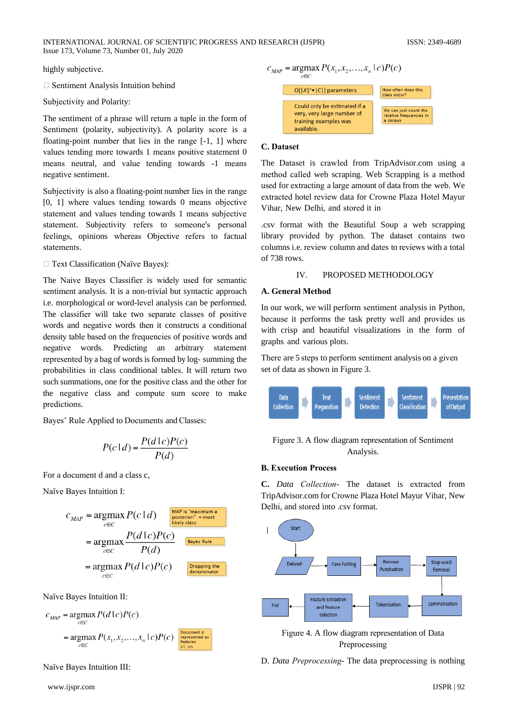INTERNATIONAL JOURNAL OF SCIENTIFIC PROGRESS AND RESEARCH (IJSPR) Issue 173, Volume 73, Number 01, July 2020

highly subjective.

□ Sentiment Analysis Intuition behind

Subjectivity and Polarity:

The sentiment of a phrase will return a tuple in the form of Sentiment (polarity, subjectivity). A polarity score is a floating-point number that lies in the range  $[-1, 1]$  where values tending more towards 1 means positive statement 0 means neutral, and value tending towards -1 means negative sentiment.

Subjectivity is also a floating-point number lies in the range [0, 1] where values tending towards 0 means objective statement and values tending towards 1 means subjective statement. Subjectivity refers to someone's personal feelings, opinions whereas Objective refers to factual statements.

□ Text Classification (Naïve Bayes):

The Naive Bayes Classifier is widely used for semantic sentiment analysis. It is a non-trivial but syntactic approach i.e. morphological or word-level analysis can be performed. The classifier will take two separate classes of positive words and negative words then it constructs a conditional density table based on the frequencies of positive words and negative words. Predicting an arbitrary statement represented by a bag of words is formed by log-summing the probabilities in class conditional tables. It will return two such summations, one for the positive class and the other for the negative class and compute sum score to make predictions.

Bayes' Rule Applied to Documents and Classes:

$$
P(c \mid d) = \frac{P(d \mid c)P(c)}{P(d)}
$$

For a document d and a class c.

Naïve Bayes Intuition I:

$$
C_{MAP} = \underset{c \in C}{\text{argmax}} P(c \mid d)
$$
\n
$$
= \underset{c \in C}{\text{argmax}} \frac{P(d \mid c)P(c)}{P(d)}
$$
\n
$$
= \underset{c \in C}{\text{argmax}} \frac{P(d \mid c)P(c)}{P(d)}
$$
\n
$$
= \underset{c \in C}{\text{argmax}} P(d \mid c)P(c)
$$
\n
$$
= \underset{c \in C}{\text{argmax}} P(d \mid c)P(c)
$$
\n
$$
= \underset{c \in C}{\text{argmax}} P(d \mid c)P(c)
$$

Naïve Bayes Intuition II:

$$
c_{MAP} = \underset{c \in C}{\operatorname{argmax}} P(d | c) P(c)
$$
  
= 
$$
\underset{c \in C}{\operatorname{argmax}} P(x_1, x_2, \dots, x_n | c) P(c)
$$
  
 
$$
\underset{\underset{\text{Kall case}}{\text{logpresented as}}}{\text{loglemented as}}
$$

Naïve Bayes Intuition III:

$$
c_{MAP} = \underset{c \in C}{\text{argmax}} P(x_1, x_2, \dots, x_n \mid c) P(c)
$$



#### C. Dataset

The Dataset is crawled from TripAdvisor.com using a method called web scraping. Web Scrapping is a method used for extracting a large amount of data from the web. We extracted hotel review data for Crowne Plaza Hotel Mayur Vihar, New Delhi, and stored it in

.csv format with the Beautiful Soup a web scrapping library provided by python. The dataset contains two columns i.e. review column and dates to reviews with a total of  $738$  rows.

#### $IV.$ PROPOSED METHODOLOGY

#### **A. General Method**

In our work, we will perform sentiment analysis in Python, because it performs the task pretty well and provides us with crisp and beautiful visualizations in the form of graphs and various plots.

There are 5 steps to perform sentiment analysis on a given set of data as shown in Figure 3.



Figure 3. A flow diagram representation of Sentiment Analysis.

#### **B. Execution Process**

C. Data Collection- The dataset is extracted from TripAdvisor.com for Crowne Plaza Hotel Mayur Vihar, New Delhi, and stored into .csv format.



Figure 4. A flow diagram representation of Data Preprocessing

D. Data Preprocessing-The data preprocessing is nothing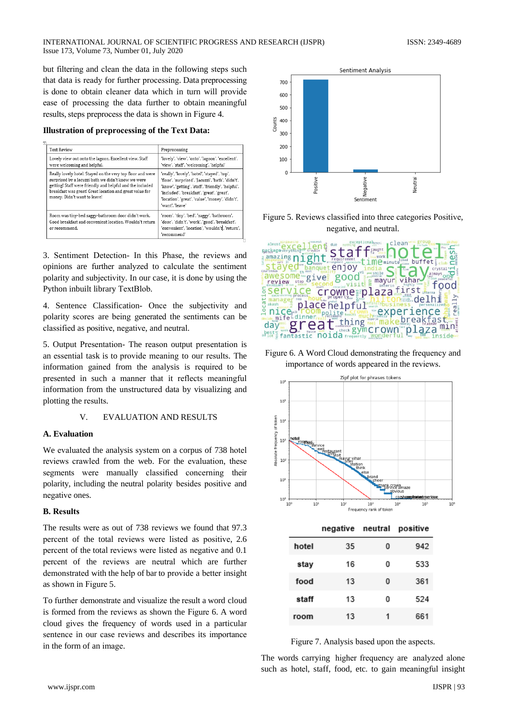but filtering and clean the data in the following steps such that data is ready for further processing. Data preprocessing is done to obtain cleaner data which in turn will provide ease of processing the data further to obtain meaningful results, steps preprocess the data is shown in Figure 4.

**Illustration of preprocessing of the Text Data:** 

| <b>Text Review</b>                                                                                                                                                                                                                                                       | Preprocessing                                                                                                                                                                                                                                                                  |  |  |  |
|--------------------------------------------------------------------------------------------------------------------------------------------------------------------------------------------------------------------------------------------------------------------------|--------------------------------------------------------------------------------------------------------------------------------------------------------------------------------------------------------------------------------------------------------------------------------|--|--|--|
| Lovely view out onto the lagoon. Excellent view. Staff<br>were welcoming and helpful.                                                                                                                                                                                    | 'lovely', 'view', 'onto', 'lagoon', 'excellent',<br>'view', 'staff', 'welcoming', 'helpful'                                                                                                                                                                                    |  |  |  |
| Really lovely hotel. Stayed on the very top floor and were<br>surprised by a Jacuzzi bath we didn't know we were<br>getting! Staff were friendly and helpful and the included<br>breakfast was great! Great location and great value for<br>money. Didn't want to leave! | 'really', 'lovely', 'hotel', 'stayed', 'top',<br>'floor', 'surprised', 'Jacuzzi', 'bath', 'didn't',<br>'know', 'getting', 'staff', 'friendly', 'helpful',<br>'included', 'breakfast', 'great', 'great',<br>'location', 'great', 'value', 'money', 'didn't',<br>'want', 'leave' |  |  |  |
| Room was tiny-bed saggy-bathroom door didn't work.<br>Good breakfast and convenient location. Wouldn't return<br>or recommend.                                                                                                                                           | 'room', 'tiny', 'bed', 'saggy', 'bathroom',<br>'door', 'didn't', 'work', 'good', 'breakfast',<br>'convenient', 'location', 'wouldn't, 'return',<br>'recommend'                                                                                                                 |  |  |  |

3. Sentiment Detection- In this Phase, the reviews and opinions are further analyzed to calculate the sentiment polarity and subjectivity. In our case, it is done by using the Python inbuilt library TextBlob.

4. Sentence Classification- Once the subjectivity and polarity scores are being generated the sentiments can be classified as positive, negative, and neutral.

5. Output Presentation- The reason output presentation is an essential task is to provide meaning to our results. The information gained from the analysis is required to be presented in such a manner that it reflects meaningful information from the unstructured data by visualizing and plotting the results.

> $\mathbf{V}$ **EVALUATION AND RESULTS**

## A. Evaluation

We evaluated the analysis system on a corpus of 738 hotel reviews crawled from the web. For the evaluation, these segments were manually classified concerning their polarity, including the neutral polarity besides positive and negative ones.

## **B.** Results

The results were as out of 738 reviews we found that 97.3 percent of the total reviews were listed as positive, 2.6 percent of the total reviews were listed as negative and 0.1 percent of the reviews are neutral which are further demonstrated with the help of bar to provide a better insight as shown in Figure 5.

To further demonstrate and visualize the result a word cloud is formed from the reviews as shown the Figure 6. A word cloud gives the frequency of words used in a particular sentence in our case reviews and describes its importance in the form of an image.



Figure 5. Reviews classified into three categories Positive, negative, and neutral.



Figure 6. A Word Cloud demonstrating the frequency and importance of words appeared in the reviews.



|       | negative neutral |   | positive |
|-------|------------------|---|----------|
| hotel | 35               | o | 942      |
| stay  | 16               | ٥ | 533      |
| food  | 13               | o | 361      |
| staff | 13               | ٥ | 524      |
| room  | 13               | 1 | 661      |



The words carrying higher frequency are analyzed alone such as hotel, staff, food, etc. to gain meaningful insight